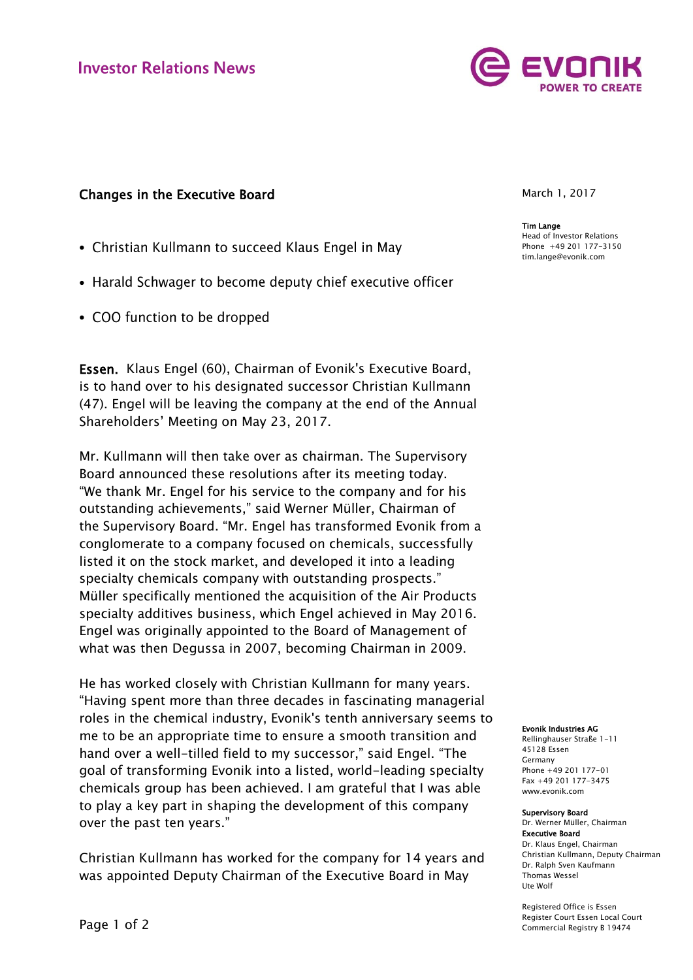

# Changes in the Executive Board

- Christian Kullmann to succeed Klaus Engel in May
- Harald Schwager to become deputy chief executive officer
- COO function to be dropped

Essen. Klaus Engel (60), Chairman of Evonik's Executive Board, is to hand over to his designated successor Christian Kullmann (47). Engel will be leaving the company at the end of the Annual Shareholders' Meeting on May 23, 2017.

Mr. Kullmann will then take over as chairman. The Supervisory Board announced these resolutions after its meeting today. "We thank Mr. Engel for his service to the company and for his outstanding achievements," said Werner Müller, Chairman of the Supervisory Board. "Mr. Engel has transformed Evonik from a conglomerate to a company focused on chemicals, successfully listed it on the stock market, and developed it into a leading specialty chemicals company with outstanding prospects." Müller specifically mentioned the acquisition of the Air Products specialty additives business, which Engel achieved in May 2016. Engel was originally appointed to the Board of Management of what was then Degussa in 2007, becoming Chairman in 2009.

He has worked closely with Christian Kullmann for many years. "Having spent more than three decades in fascinating managerial roles in the chemical industry, Evonik's tenth anniversary seems to me to be an appropriate time to ensure a smooth transition and hand over a well-tilled field to my successor," said Engel. "The goal of transforming Evonik into a listed, world-leading specialty chemicals group has been achieved. I am grateful that I was able to play a key part in shaping the development of this company over the past ten years."

Christian Kullmann has worked for the company for 14 years and was appointed Deputy Chairman of the Executive Board in May

March 1, 2017

Tim Lange Head of Investor Relations Phone +49 201 177-3150 tim.lange@evonik.com

### Evonik Industries AG

Rellinghauser Straße 1-11 45128 Essen Germany Phone +49 201 177-01 Fax +49 201 177-3475 www.evonik.com

### Supervisory Board

Dr. Werner Müller, Chairman Executive Board Dr. Klaus Engel, Chairman Christian Kullmann, Deputy Chairman Dr. Ralph Sven Kaufmann Thomas Wessel Ute Wolf

Registered Office is Essen Register Court Essen Local Court Commercial Registry B 19474